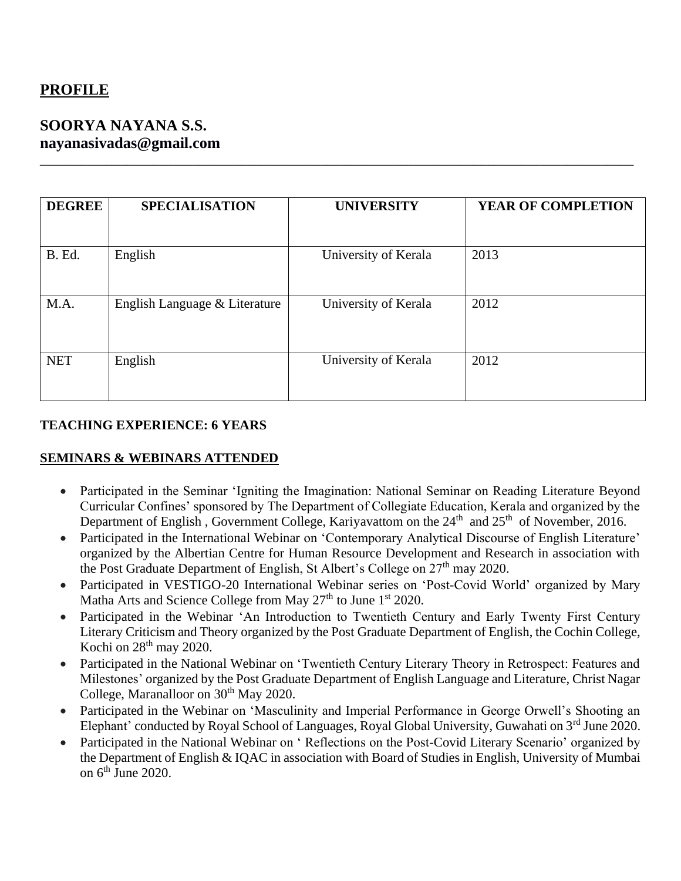# **PROFILE**

# **SOORYA NAYANA S.S. nayanasivadas@gmail.com**

| <b>DEGREE</b> | <b>SPECIALISATION</b>         | <b>UNIVERSITY</b>    | <b>YEAR OF COMPLETION</b> |
|---------------|-------------------------------|----------------------|---------------------------|
| B. Ed.        | English                       | University of Kerala | 2013                      |
| M.A.          | English Language & Literature | University of Kerala | 2012                      |
| <b>NET</b>    | English                       | University of Kerala | 2012                      |

\_\_\_\_\_\_\_\_\_\_\_\_\_\_\_\_\_\_\_\_\_\_\_\_\_\_\_\_\_\_\_\_\_\_\_\_\_\_\_\_\_\_\_\_\_\_\_\_\_\_\_\_\_\_\_\_\_\_\_\_\_\_\_\_\_\_\_\_\_\_\_\_\_\_\_\_\_\_\_\_\_\_\_\_\_\_\_\_\_

### **TEACHING EXPERIENCE: 6 YEARS**

#### **SEMINARS & WEBINARS ATTENDED**

- Participated in the Seminar 'Igniting the Imagination: National Seminar on Reading Literature Beyond Curricular Confines' sponsored by The Department of Collegiate Education, Kerala and organized by the Department of English, Government College, Kariyavattom on the  $24<sup>th</sup>$  and  $25<sup>th</sup>$  of November, 2016.
- Participated in the International Webinar on 'Contemporary Analytical Discourse of English Literature' organized by the Albertian Centre for Human Resource Development and Research in association with the Post Graduate Department of English, St Albert's College on 27<sup>th</sup> may 2020.
- Participated in VESTIGO-20 International Webinar series on 'Post-Covid World' organized by Mary Matha Arts and Science College from May  $27<sup>th</sup>$  to June  $1<sup>st</sup> 2020$ .
- Participated in the Webinar 'An Introduction to Twentieth Century and Early Twenty First Century Literary Criticism and Theory organized by the Post Graduate Department of English, the Cochin College, Kochi on  $28<sup>th</sup>$  may 2020.
- Participated in the National Webinar on 'Twentieth Century Literary Theory in Retrospect: Features and Milestones' organized by the Post Graduate Department of English Language and Literature, Christ Nagar College, Maranalloor on 30<sup>th</sup> May 2020.
- Participated in the Webinar on 'Masculinity and Imperial Performance in George Orwell's Shooting an Elephant' conducted by Royal School of Languages, Royal Global University, Guwahati on 3<sup>rd</sup> June 2020.
- Participated in the National Webinar on ' Reflections on the Post-Covid Literary Scenario' organized by the Department of English & IQAC in association with Board of Studies in English, University of Mumbai on  $6<sup>th</sup>$  June 2020.